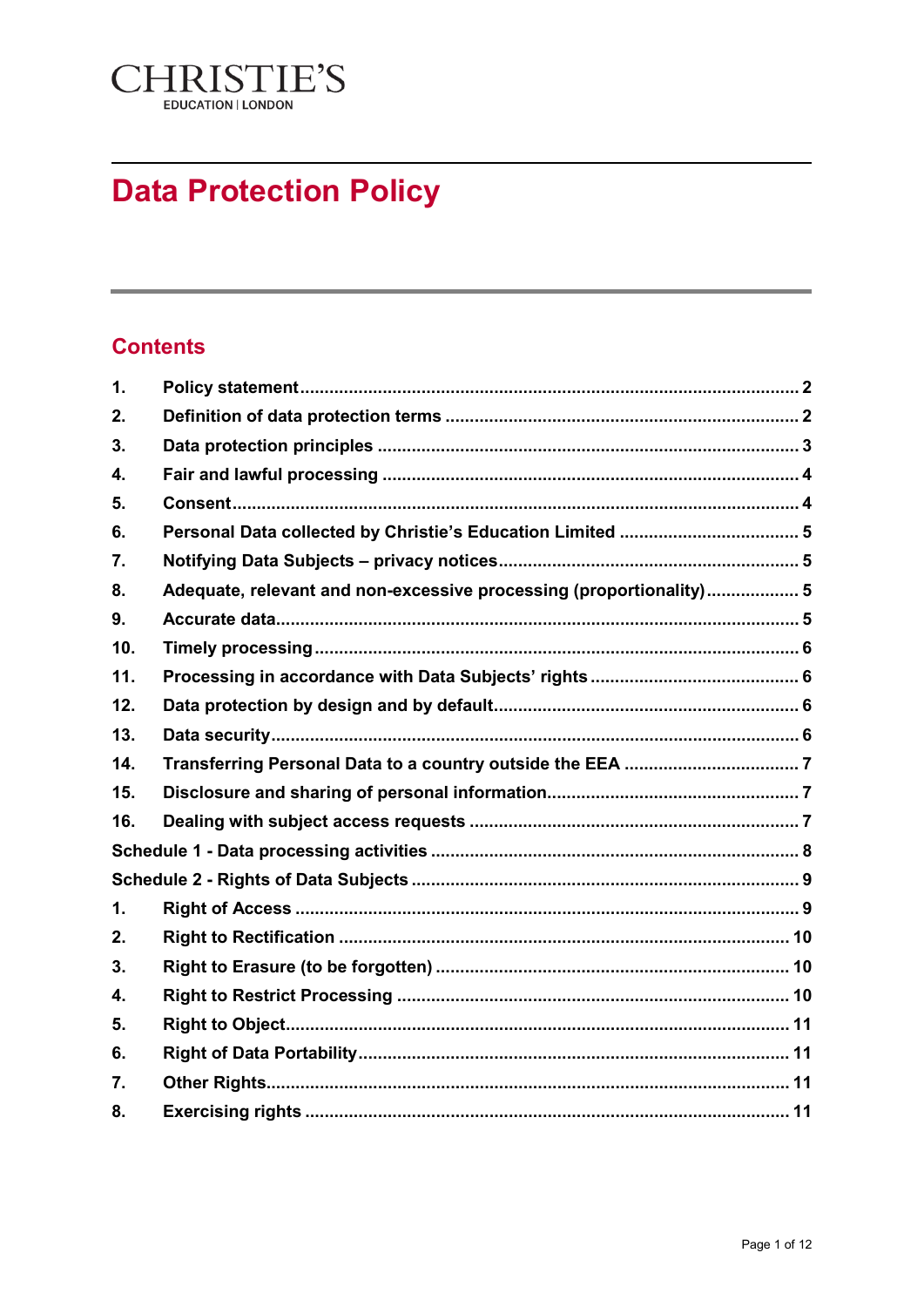

# **Data Protection Policy**

# **Contents**

| $\mathbf{1}$ . |                                                                     |  |  |  |
|----------------|---------------------------------------------------------------------|--|--|--|
| 2.             |                                                                     |  |  |  |
| 3.             |                                                                     |  |  |  |
| 4.             |                                                                     |  |  |  |
| 5.             |                                                                     |  |  |  |
| 6.             |                                                                     |  |  |  |
| 7.             |                                                                     |  |  |  |
| 8.             | Adequate, relevant and non-excessive processing (proportionality) 5 |  |  |  |
| 9.             |                                                                     |  |  |  |
| 10.            |                                                                     |  |  |  |
| 11.            |                                                                     |  |  |  |
| 12.            |                                                                     |  |  |  |
| 13.            |                                                                     |  |  |  |
| 14.            |                                                                     |  |  |  |
| 15.            |                                                                     |  |  |  |
| 16.            |                                                                     |  |  |  |
|                |                                                                     |  |  |  |
|                |                                                                     |  |  |  |
| $\mathbf{1}$ . |                                                                     |  |  |  |
| 2.             |                                                                     |  |  |  |
| 3.             |                                                                     |  |  |  |
| 4.             |                                                                     |  |  |  |
| 5.             |                                                                     |  |  |  |
| 6.             |                                                                     |  |  |  |
| 7.             |                                                                     |  |  |  |
| 8.             |                                                                     |  |  |  |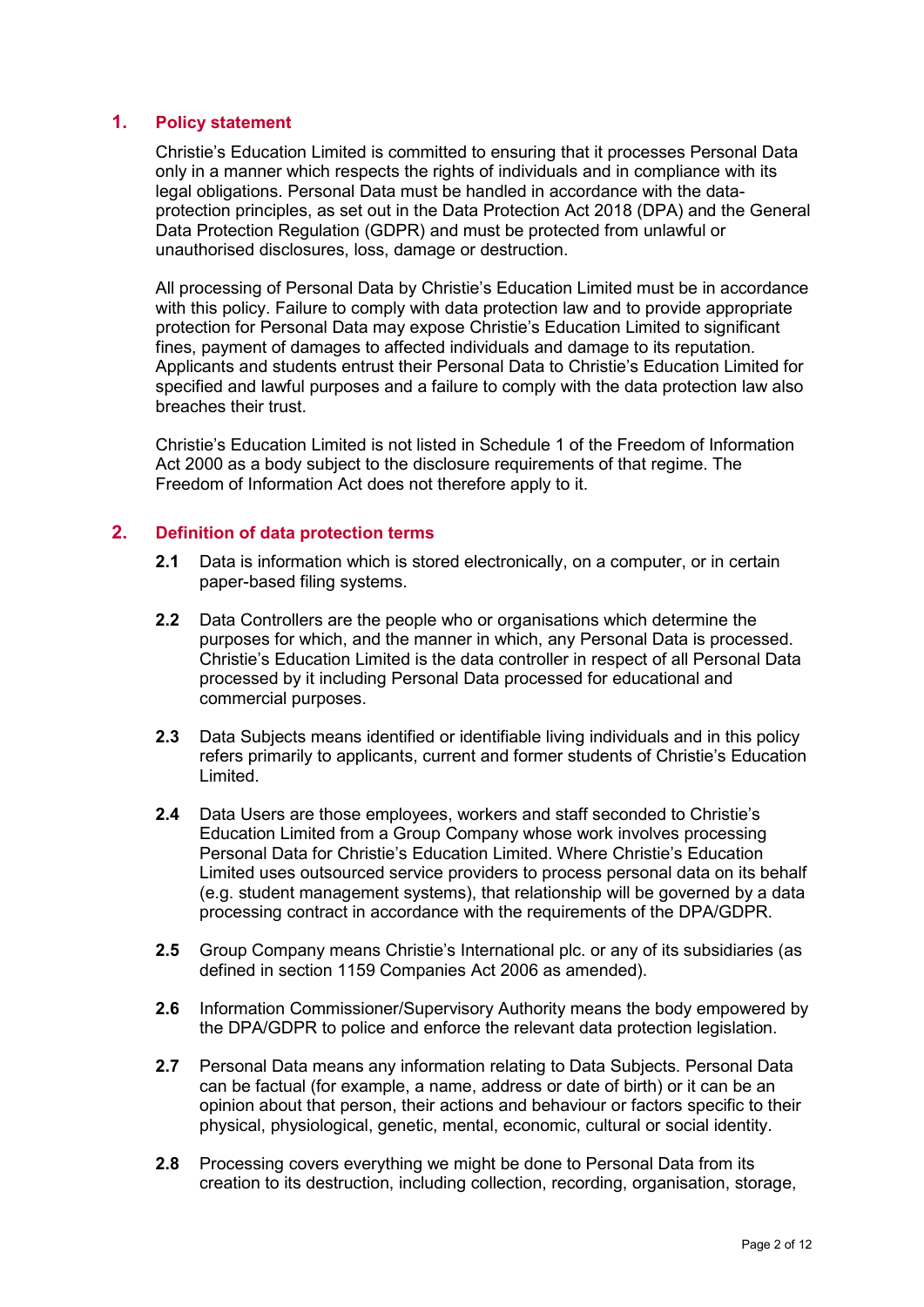# <span id="page-1-0"></span>**1. Policy statement**

Christie's Education Limited is committed to ensuring that it processes Personal Data only in a manner which respects the rights of individuals and in compliance with its legal obligations. Personal Data must be handled in accordance with the dataprotection principles, as set out in the Data Protection Act 2018 (DPA) and the General Data Protection Regulation (GDPR) and must be protected from unlawful or unauthorised disclosures, loss, damage or destruction.

All processing of Personal Data by Christie's Education Limited must be in accordance with this policy. Failure to comply with data protection law and to provide appropriate protection for Personal Data may expose Christie's Education Limited to significant fines, payment of damages to affected individuals and damage to its reputation. Applicants and students entrust their Personal Data to Christie's Education Limited for specified and lawful purposes and a failure to comply with the data protection law also breaches their trust.

Christie's Education Limited is not listed in Schedule 1 of the Freedom of Information Act 2000 as a body subject to the disclosure requirements of that regime. The Freedom of Information Act does not therefore apply to it.

## <span id="page-1-1"></span>**2. Definition of data protection terms**

- **2.1** Data is information which is stored electronically, on a computer, or in certain paper-based filing systems.
- **2.2** Data Controllers are the people who or organisations which determine the purposes for which, and the manner in which, any Personal Data is processed. Christie's Education Limited is the data controller in respect of all Personal Data processed by it including Personal Data processed for educational and commercial purposes.
- **2.3** Data Subjects means identified or identifiable living individuals and in this policy refers primarily to applicants, current and former students of Christie's Education Limited.
- **2.4** Data Users are those employees, workers and staff seconded to Christie's Education Limited from a Group Company whose work involves processing Personal Data for Christie's Education Limited. Where Christie's Education Limited uses outsourced service providers to process personal data on its behalf (e.g. student management systems), that relationship will be governed by a data processing contract in accordance with the requirements of the DPA/GDPR.
- **2.5** Group Company means Christie's International plc. or any of its subsidiaries (as defined in section 1159 Companies Act 2006 as amended).
- **2.6** Information Commissioner/Supervisory Authority means the body empowered by the DPA/GDPR to police and enforce the relevant data protection legislation.
- **2.7** Personal Data means any information relating to Data Subjects. Personal Data can be factual (for example, a name, address or date of birth) or it can be an opinion about that person, their actions and behaviour or factors specific to their physical, physiological, genetic, mental, economic, cultural or social identity.
- **2.8** Processing covers everything we might be done to Personal Data from its creation to its destruction, including collection, recording, organisation, storage,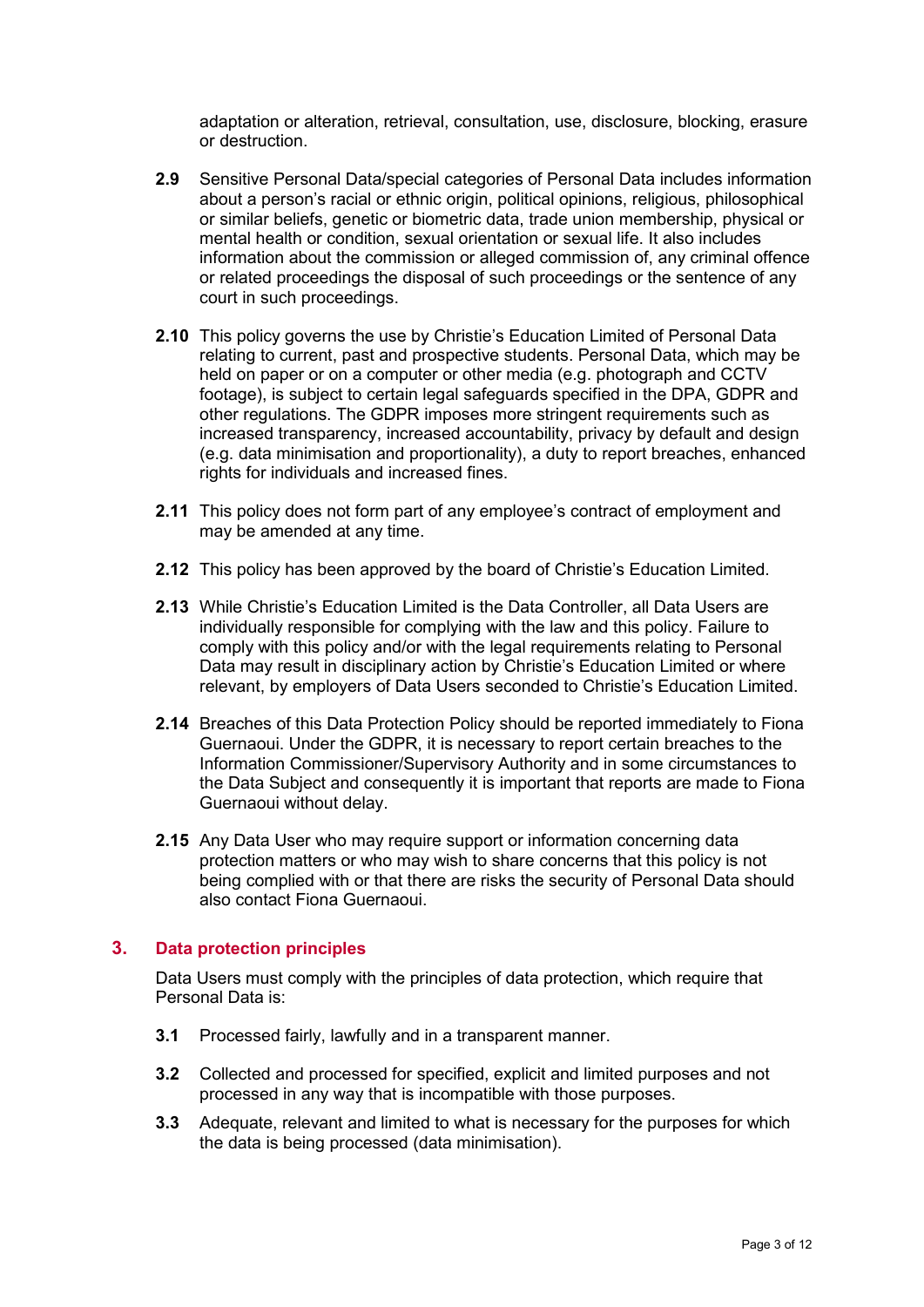adaptation or alteration, retrieval, consultation, use, disclosure, blocking, erasure or destruction.

- **2.9** Sensitive Personal Data/special categories of Personal Data includes information about a person's racial or ethnic origin, political opinions, religious, philosophical or similar beliefs, genetic or biometric data, trade union membership, physical or mental health or condition, sexual orientation or sexual life. It also includes information about the commission or alleged commission of, any criminal offence or related proceedings the disposal of such proceedings or the sentence of any court in such proceedings.
- **2.10** This policy governs the use by Christie's Education Limited of Personal Data relating to current, past and prospective students. Personal Data, which may be held on paper or on a computer or other media (e.g. photograph and CCTV footage), is subject to certain legal safeguards specified in the DPA, GDPR and other regulations. The GDPR imposes more stringent requirements such as increased transparency, increased accountability, privacy by default and design (e.g. data minimisation and proportionality), a duty to report breaches, enhanced rights for individuals and increased fines.
- **2.11** This policy does not form part of any employee's contract of employment and may be amended at any time.
- **2.12** This policy has been approved by the board of Christie's Education Limited.
- **2.13** While Christie's Education Limited is the Data Controller, all Data Users are individually responsible for complying with the law and this policy. Failure to comply with this policy and/or with the legal requirements relating to Personal Data may result in disciplinary action by Christie's Education Limited or where relevant, by employers of Data Users seconded to Christie's Education Limited.
- **2.14** Breaches of this Data Protection Policy should be reported immediately to Fiona Guernaoui. Under the GDPR, it is necessary to report certain breaches to the Information Commissioner/Supervisory Authority and in some circumstances to the Data Subject and consequently it is important that reports are made to Fiona Guernaoui without delay.
- **2.15** Any Data User who may require support or information concerning data protection matters or who may wish to share concerns that this policy is not being complied with or that there are risks the security of Personal Data should also contact Fiona Guernaoui.

## <span id="page-2-0"></span>**3. Data protection principles**

Data Users must comply with the principles of data protection, which require that Personal Data is:

- **3.1** Processed fairly, lawfully and in a transparent manner.
- **3.2** Collected and processed for specified, explicit and limited purposes and not processed in any way that is incompatible with those purposes.
- **3.3** Adequate, relevant and limited to what is necessary for the purposes for which the data is being processed (data minimisation).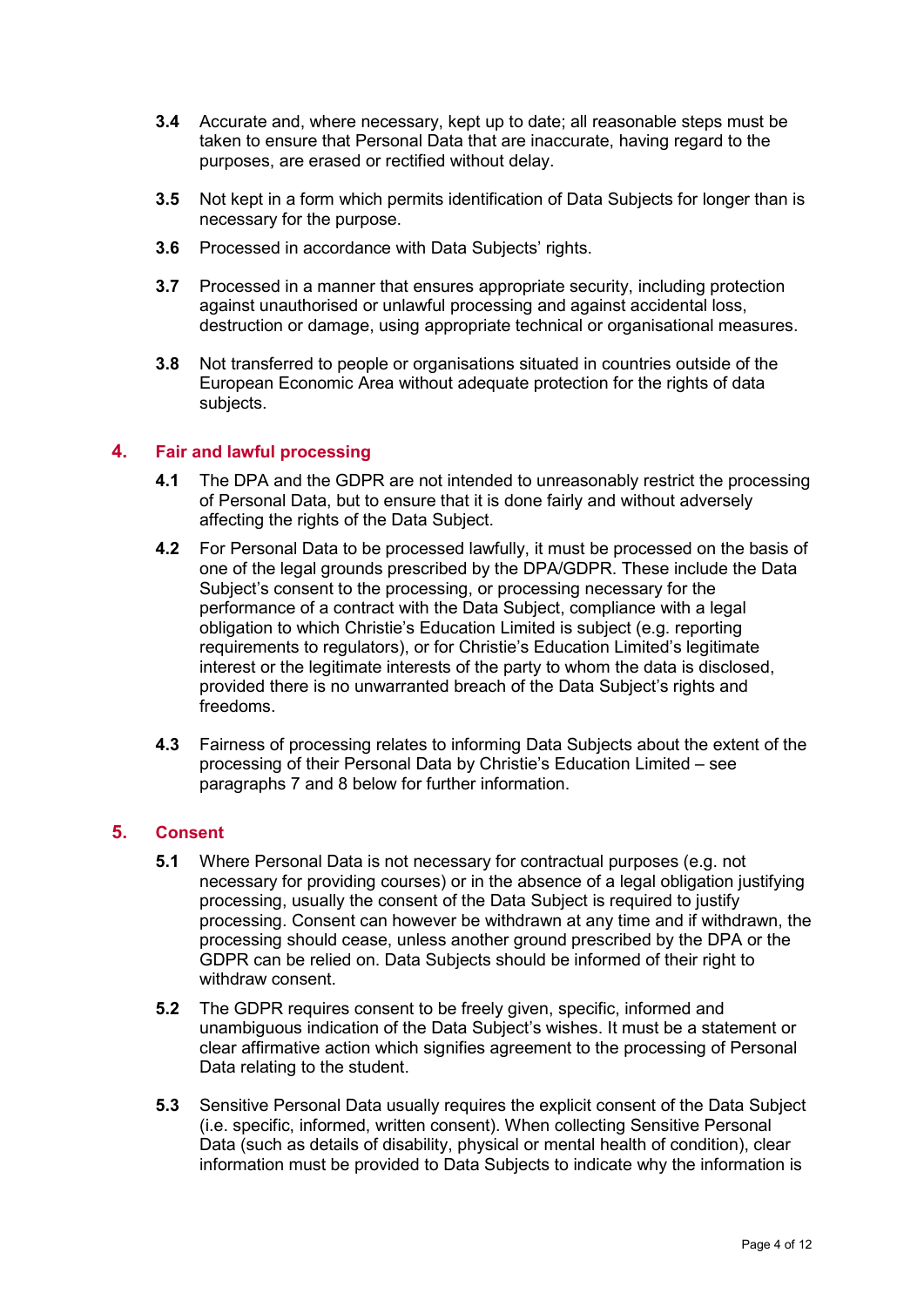- **3.4** Accurate and, where necessary, kept up to date; all reasonable steps must be taken to ensure that Personal Data that are inaccurate, having regard to the purposes, are erased or rectified without delay.
- **3.5** Not kept in a form which permits identification of Data Subjects for longer than is necessary for the purpose.
- **3.6** Processed in accordance with Data Subjects' rights.
- **3.7** Processed in a manner that ensures appropriate security, including protection against unauthorised or unlawful processing and against accidental loss, destruction or damage, using appropriate technical or organisational measures.
- **3.8** Not transferred to people or organisations situated in countries outside of the European Economic Area without adequate protection for the rights of data subjects.

## <span id="page-3-0"></span>**4. Fair and lawful processing**

- **4.1** The DPA and the GDPR are not intended to unreasonably restrict the processing of Personal Data, but to ensure that it is done fairly and without adversely affecting the rights of the Data Subject.
- **4.2** For Personal Data to be processed lawfully, it must be processed on the basis of one of the legal grounds prescribed by the DPA/GDPR. These include the Data Subject's consent to the processing, or processing necessary for the performance of a contract with the Data Subject, compliance with a legal obligation to which Christie's Education Limited is subject (e.g. reporting requirements to regulators), or for Christie's Education Limited's legitimate interest or the legitimate interests of the party to whom the data is disclosed, provided there is no unwarranted breach of the Data Subject's rights and freedoms.
- **4.3** Fairness of processing relates to informing Data Subjects about the extent of the processing of their Personal Data by Christie's Education Limited – see paragraphs 7 and 8 below for further information.

#### <span id="page-3-1"></span>**5. Consent**

- **5.1** Where Personal Data is not necessary for contractual purposes (e.g. not necessary for providing courses) or in the absence of a legal obligation justifying processing, usually the consent of the Data Subject is required to justify processing. Consent can however be withdrawn at any time and if withdrawn, the processing should cease, unless another ground prescribed by the DPA or the GDPR can be relied on. Data Subjects should be informed of their right to withdraw consent.
- **5.2** The GDPR requires consent to be freely given, specific, informed and unambiguous indication of the Data Subject's wishes. It must be a statement or clear affirmative action which signifies agreement to the processing of Personal Data relating to the student.
- **5.3** Sensitive Personal Data usually requires the explicit consent of the Data Subject (i.e. specific, informed, written consent). When collecting Sensitive Personal Data (such as details of disability, physical or mental health of condition), clear information must be provided to Data Subjects to indicate why the information is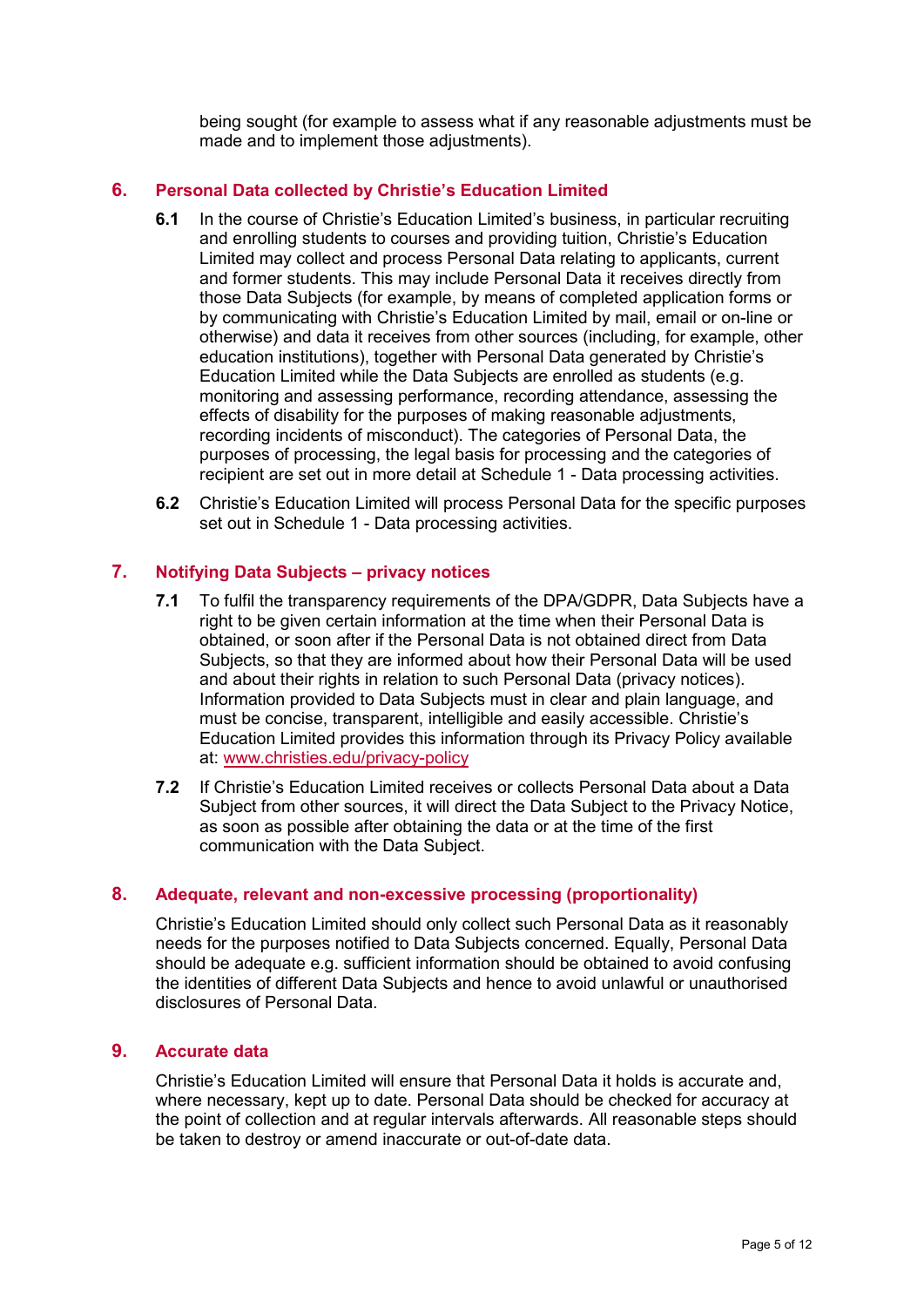being sought (for example to assess what if any reasonable adjustments must be made and to implement those adjustments).

## <span id="page-4-0"></span>**6. Personal Data collected by Christie's Education Limited**

- **6.1** In the course of Christie's Education Limited's business, in particular recruiting and enrolling students to courses and providing tuition, Christie's Education Limited may collect and process Personal Data relating to applicants, current and former students. This may include Personal Data it receives directly from those Data Subjects (for example, by means of completed application forms or by communicating with Christie's Education Limited by mail, email or on-line or otherwise) and data it receives from other sources (including, for example, other education institutions), together with Personal Data generated by Christie's Education Limited while the Data Subjects are enrolled as students (e.g. monitoring and assessing performance, recording attendance, assessing the effects of disability for the purposes of making reasonable adjustments, recording incidents of misconduct). The categories of Personal Data, the purposes of processing, the legal basis for processing and the categories of recipient are set out in more detail at Schedule 1 - Data processing activities.
- **6.2** Christie's Education Limited will process Personal Data for the specific purposes set out in Schedule 1 - Data processing activities.

## <span id="page-4-1"></span>**7. Notifying Data Subjects – privacy notices**

- **7.1** To fulfil the transparency requirements of the DPA/GDPR, Data Subjects have a right to be given certain information at the time when their Personal Data is obtained, or soon after if the Personal Data is not obtained direct from Data Subjects, so that they are informed about how their Personal Data will be used and about their rights in relation to such Personal Data (privacy notices). Information provided to Data Subjects must in clear and plain language, and must be concise, transparent, intelligible and easily accessible. Christie's Education Limited provides this information through its Privacy Policy available at: www.christies.edu/privacy-policy
- **7.2** If Christie's Education Limited receives or collects Personal Data about a Data Subject from other sources, it will direct the Data Subject to the Privacy Notice, as soon as possible after obtaining the data or at the time of the first communication with the Data Subject.

## <span id="page-4-2"></span>**8. Adequate, relevant and non-excessive processing (proportionality)**

Christie's Education Limited should only collect such Personal Data as it reasonably needs for the purposes notified to Data Subjects concerned. Equally, Personal Data should be adequate e.g. sufficient information should be obtained to avoid confusing the identities of different Data Subjects and hence to avoid unlawful or unauthorised disclosures of Personal Data.

## <span id="page-4-3"></span>**9. Accurate data**

Christie's Education Limited will ensure that Personal Data it holds is accurate and, where necessary, kept up to date. Personal Data should be checked for accuracy at the point of collection and at regular intervals afterwards. All reasonable steps should be taken to destroy or amend inaccurate or out-of-date data.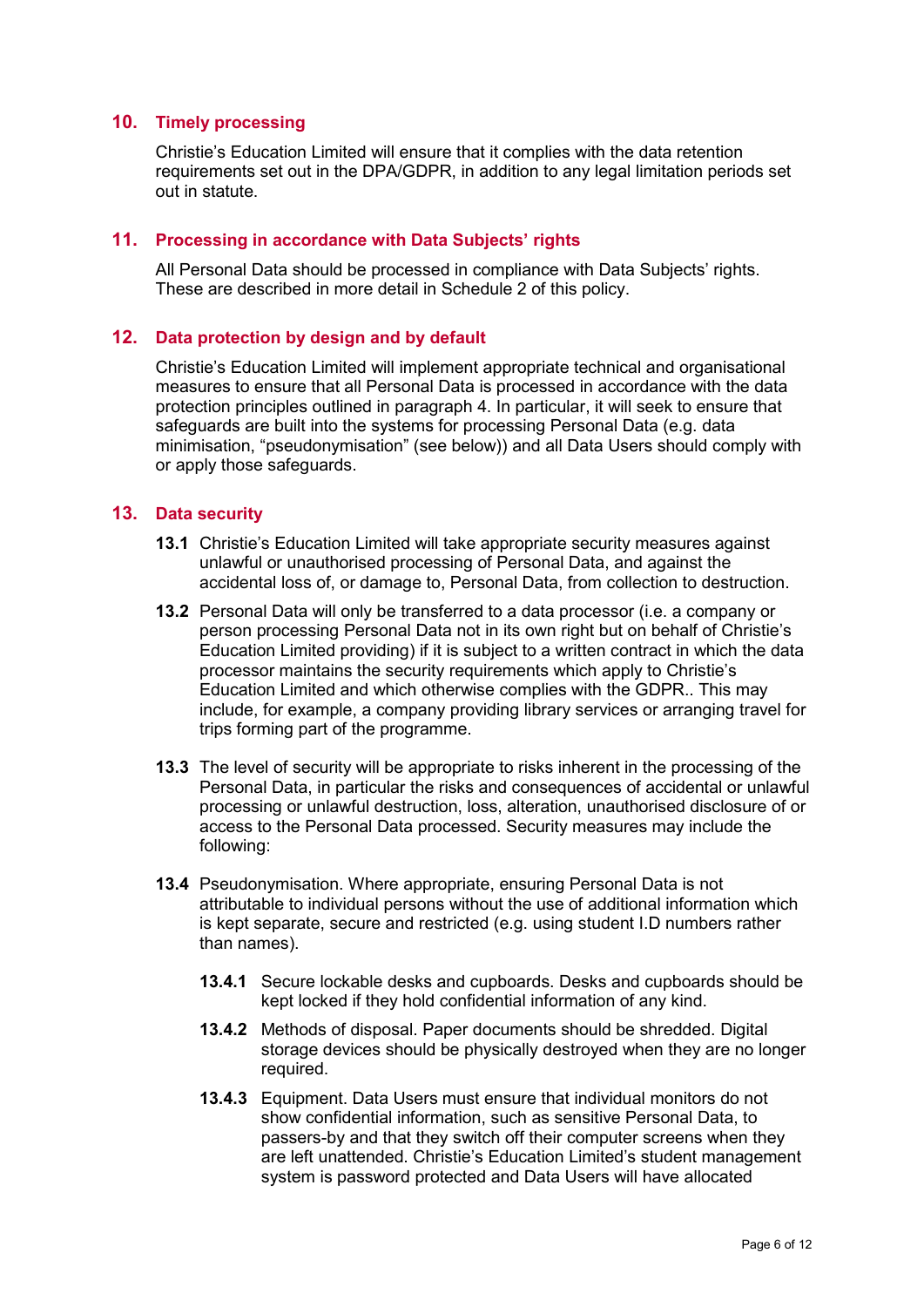## <span id="page-5-0"></span>**10. Timely processing**

Christie's Education Limited will ensure that it complies with the data retention requirements set out in the DPA/GDPR, in addition to any legal limitation periods set out in statute.

#### <span id="page-5-1"></span>**11. Processing in accordance with Data Subjects' rights**

All Personal Data should be processed in compliance with Data Subjects' rights. These are described in more detail in Schedule 2 of this policy.

#### <span id="page-5-2"></span>**12. Data protection by design and by default**

Christie's Education Limited will implement appropriate technical and organisational measures to ensure that all Personal Data is processed in accordance with the data protection principles outlined in paragraph 4. In particular, it will seek to ensure that safeguards are built into the systems for processing Personal Data (e.g. data minimisation, "pseudonymisation" (see below)) and all Data Users should comply with or apply those safeguards.

#### <span id="page-5-3"></span>**13. Data security**

- **13.1** Christie's Education Limited will take appropriate security measures against unlawful or unauthorised processing of Personal Data, and against the accidental loss of, or damage to, Personal Data, from collection to destruction.
- **13.2** Personal Data will only be transferred to a data processor (i.e. a company or person processing Personal Data not in its own right but on behalf of Christie's Education Limited providing) if it is subject to a written contract in which the data processor maintains the security requirements which apply to Christie's Education Limited and which otherwise complies with the GDPR.. This may include, for example, a company providing library services or arranging travel for trips forming part of the programme.
- **13.3** The level of security will be appropriate to risks inherent in the processing of the Personal Data, in particular the risks and consequences of accidental or unlawful processing or unlawful destruction, loss, alteration, unauthorised disclosure of or access to the Personal Data processed. Security measures may include the following:
- **13.4** Pseudonymisation. Where appropriate, ensuring Personal Data is not attributable to individual persons without the use of additional information which is kept separate, secure and restricted (e.g. using student I.D numbers rather than names).
	- **13.4.1** Secure lockable desks and cupboards. Desks and cupboards should be kept locked if they hold confidential information of any kind.
	- **13.4.2** Methods of disposal. Paper documents should be shredded. Digital storage devices should be physically destroyed when they are no longer required.
	- **13.4.3** Equipment. Data Users must ensure that individual monitors do not show confidential information, such as sensitive Personal Data, to passers-by and that they switch off their computer screens when they are left unattended. Christie's Education Limited's student management system is password protected and Data Users will have allocated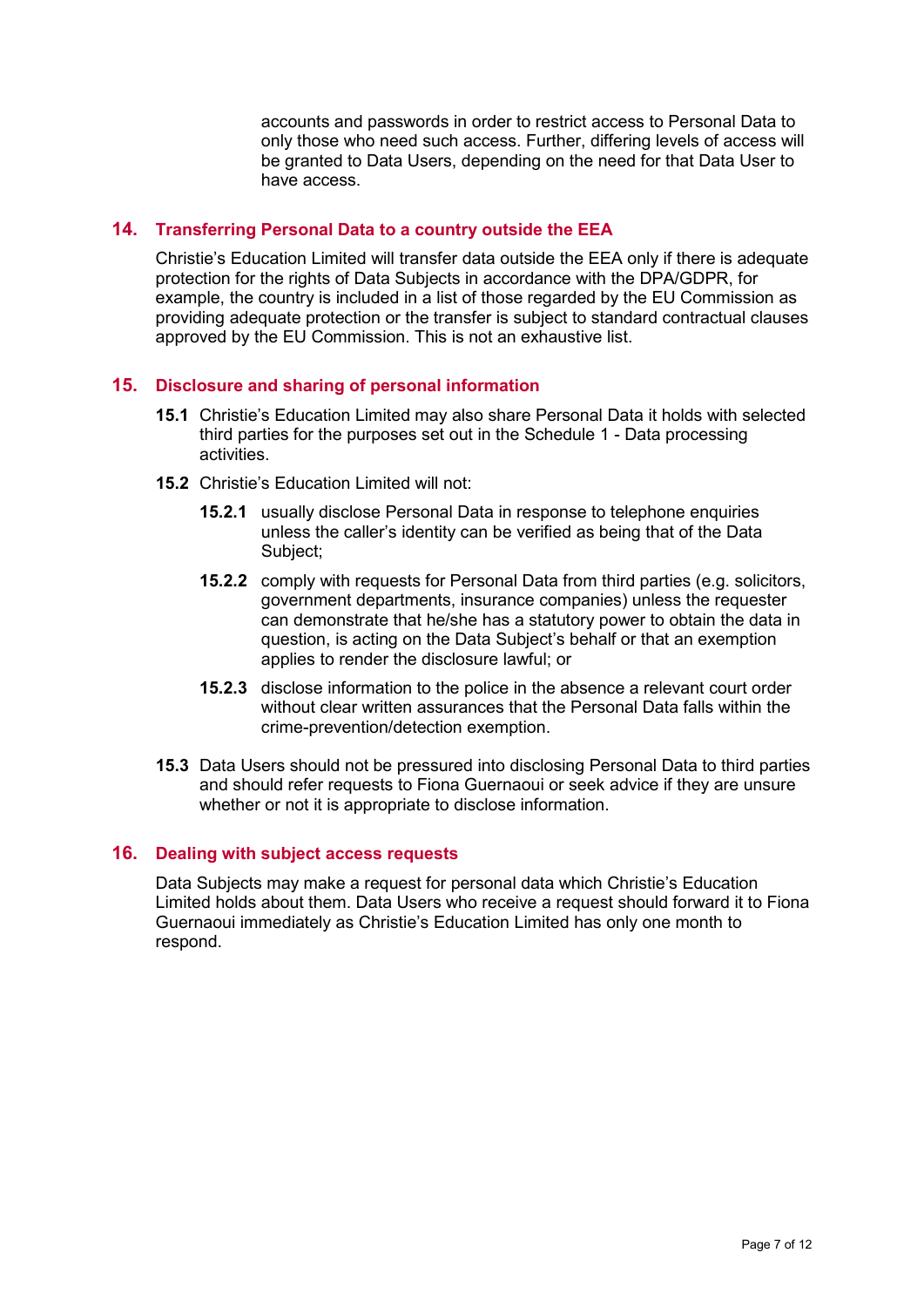accounts and passwords in order to restrict access to Personal Data to only those who need such access. Further, differing levels of access will be granted to Data Users, depending on the need for that Data User to have access.

## <span id="page-6-0"></span>**14. Transferring Personal Data to a country outside the EEA**

Christie's Education Limited will transfer data outside the EEA only if there is adequate protection for the rights of Data Subjects in accordance with the DPA/GDPR, for example, the country is included in a list of those regarded by the EU Commission as providing adequate protection or the transfer is subject to standard contractual clauses approved by the EU Commission. This is not an exhaustive list.

# <span id="page-6-1"></span>**15. Disclosure and sharing of personal information**

- **15.1** Christie's Education Limited may also share Personal Data it holds with selected third parties for the purposes set out in the Schedule 1 - Data processing activities.
- **15.2** Christie's Education Limited will not:
	- **15.2.1** usually disclose Personal Data in response to telephone enquiries unless the caller's identity can be verified as being that of the Data Subject;
	- **15.2.2** comply with requests for Personal Data from third parties (e.g. solicitors, government departments, insurance companies) unless the requester can demonstrate that he/she has a statutory power to obtain the data in question, is acting on the Data Subject's behalf or that an exemption applies to render the disclosure lawful; or
	- **15.2.3** disclose information to the police in the absence a relevant court order without clear written assurances that the Personal Data falls within the crime-prevention/detection exemption.
- **15.3** Data Users should not be pressured into disclosing Personal Data to third parties and should refer requests to Fiona Guernaoui or seek advice if they are unsure whether or not it is appropriate to disclose information.

## <span id="page-6-2"></span>**16. Dealing with subject access requests**

Data Subjects may make a request for personal data which Christie's Education Limited holds about them. Data Users who receive a request should forward it to Fiona Guernaoui immediately as Christie's Education Limited has only one month to respond.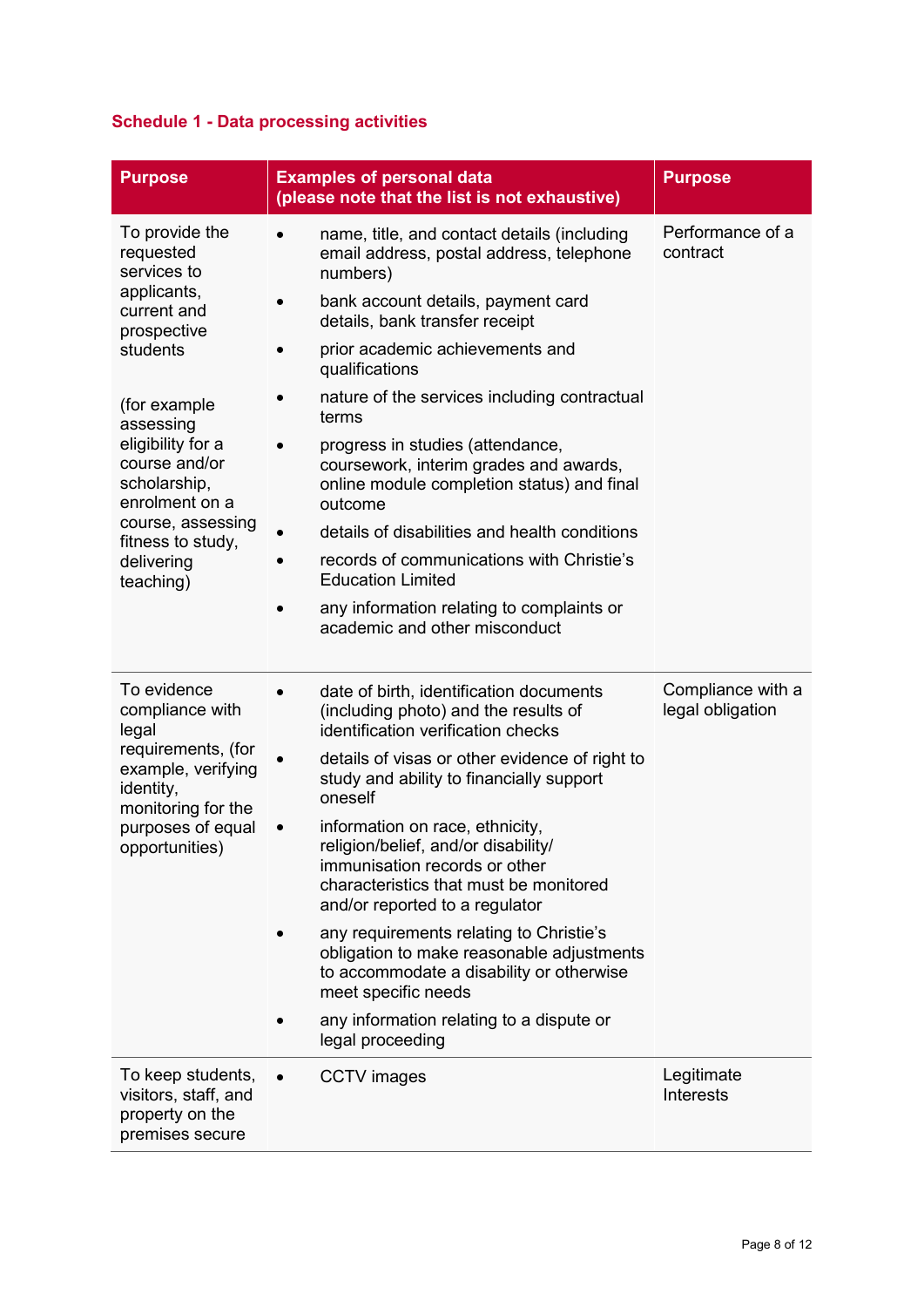# <span id="page-7-0"></span>**Schedule 1 - Data processing activities**

| <b>Purpose</b>                                                                  | <b>Examples of personal data</b><br>(please note that the list is not exhaustive)                                                                                                   | <b>Purpose</b>                        |
|---------------------------------------------------------------------------------|-------------------------------------------------------------------------------------------------------------------------------------------------------------------------------------|---------------------------------------|
| To provide the<br>requested<br>services to<br>applicants,                       | name, title, and contact details (including<br>email address, postal address, telephone<br>numbers)                                                                                 | Performance of a<br>contract          |
| current and<br>prospective                                                      | bank account details, payment card<br>details, bank transfer receipt                                                                                                                |                                       |
| students                                                                        | prior academic achievements and<br>qualifications                                                                                                                                   |                                       |
| (for example<br>assessing                                                       | nature of the services including contractual<br>terms                                                                                                                               |                                       |
| eligibility for a<br>course and/or<br>scholarship,<br>enrolment on a            | progress in studies (attendance,<br>coursework, interim grades and awards,<br>online module completion status) and final<br>outcome                                                 |                                       |
| course, assessing<br>fitness to study,                                          | details of disabilities and health conditions                                                                                                                                       |                                       |
| delivering<br>teaching)                                                         | records of communications with Christie's<br><b>Education Limited</b>                                                                                                               |                                       |
|                                                                                 | any information relating to complaints or<br>academic and other misconduct                                                                                                          |                                       |
| To evidence<br>compliance with<br>legal                                         | date of birth, identification documents<br>(including photo) and the results of<br>identification verification checks                                                               | Compliance with a<br>legal obligation |
| requirements, (for<br>example, verifying<br>identity,<br>monitoring for the     | details of visas or other evidence of right to<br>study and ability to financially support<br>oneself                                                                               |                                       |
| purposes of equal<br>opportunities)                                             | information on race, ethnicity,<br>religion/belief, and/or disability/<br>immunisation records or other<br>characteristics that must be monitored<br>and/or reported to a regulator |                                       |
|                                                                                 | any requirements relating to Christie's<br>obligation to make reasonable adjustments<br>to accommodate a disability or otherwise<br>meet specific needs                             |                                       |
|                                                                                 | any information relating to a dispute or<br>legal proceeding                                                                                                                        |                                       |
| To keep students,<br>visitors, staff, and<br>property on the<br>premises secure | <b>CCTV</b> images                                                                                                                                                                  | Legitimate<br><b>Interests</b>        |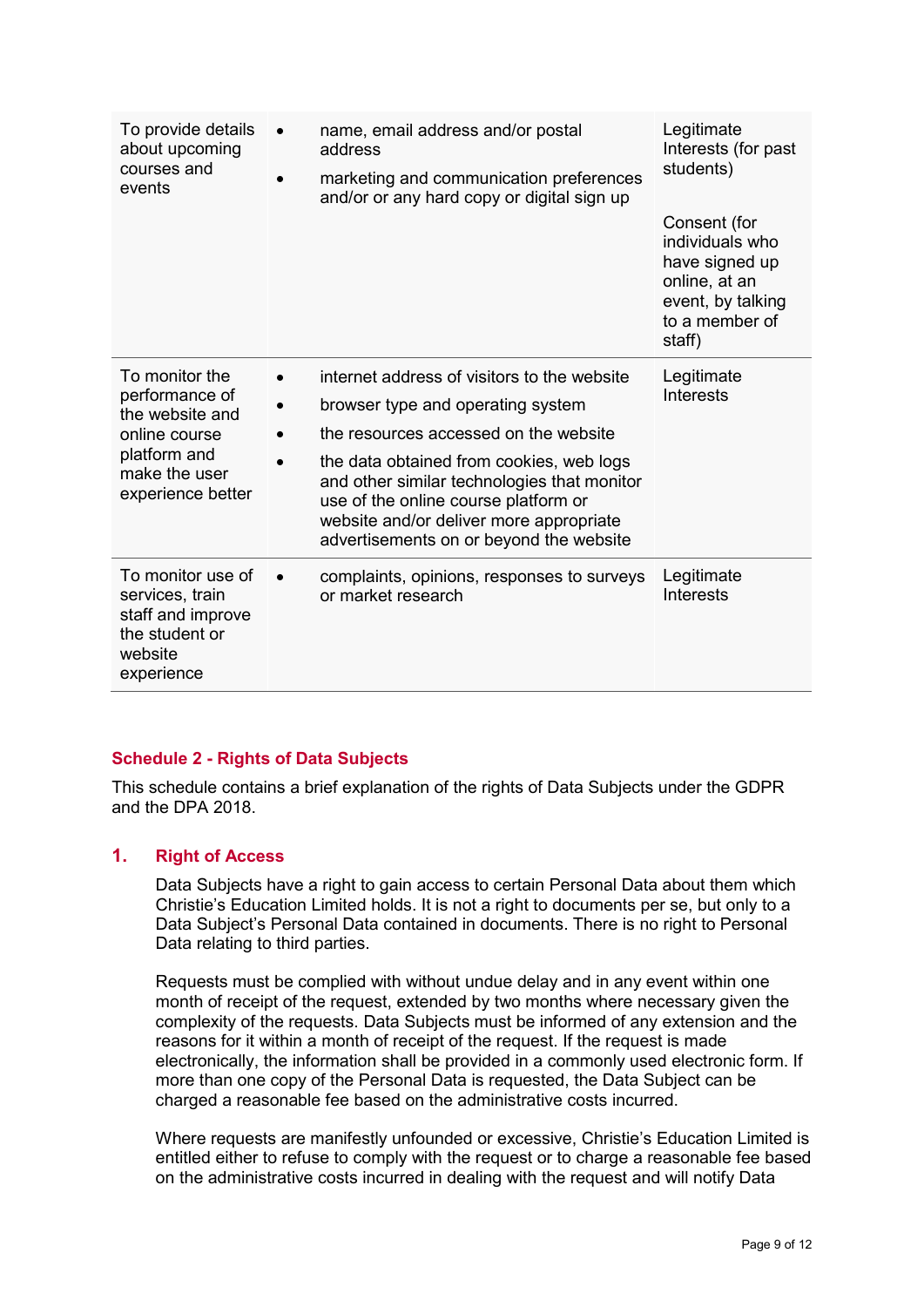| To provide details<br>about upcoming<br>courses and<br>events                                                              | name, email address and/or postal<br>address<br>marketing and communication preferences<br>and/or or any hard copy or digital sign up                                                                                                                                                                                                              | Legitimate<br>Interests (for past<br>students)<br>Consent (for<br>individuals who<br>have signed up<br>online, at an<br>event, by talking<br>to a member of |
|----------------------------------------------------------------------------------------------------------------------------|----------------------------------------------------------------------------------------------------------------------------------------------------------------------------------------------------------------------------------------------------------------------------------------------------------------------------------------------------|-------------------------------------------------------------------------------------------------------------------------------------------------------------|
|                                                                                                                            |                                                                                                                                                                                                                                                                                                                                                    | staff)                                                                                                                                                      |
| To monitor the<br>performance of<br>the website and<br>online course<br>platform and<br>make the user<br>experience better | internet address of visitors to the website<br>browser type and operating system<br>the resources accessed on the website<br>the data obtained from cookies, web logs<br>and other similar technologies that monitor<br>use of the online course platform or<br>website and/or deliver more appropriate<br>advertisements on or beyond the website | Legitimate<br>Interests                                                                                                                                     |
| To monitor use of<br>services, train<br>staff and improve<br>the student or<br>website<br>experience                       | complaints, opinions, responses to surveys<br>or market research                                                                                                                                                                                                                                                                                   | Legitimate<br><b>Interests</b>                                                                                                                              |

## <span id="page-8-0"></span>**Schedule 2 - Rights of Data Subjects**

This schedule contains a brief explanation of the rights of Data Subjects under the GDPR and the DPA 2018.

## <span id="page-8-1"></span>**1. Right of Access**

Data Subjects have a right to gain access to certain Personal Data about them which Christie's Education Limited holds. It is not a right to documents per se, but only to a Data Subject's Personal Data contained in documents. There is no right to Personal Data relating to third parties.

Requests must be complied with without undue delay and in any event within one month of receipt of the request, extended by two months where necessary given the complexity of the requests. Data Subjects must be informed of any extension and the reasons for it within a month of receipt of the request. If the request is made electronically, the information shall be provided in a commonly used electronic form. If more than one copy of the Personal Data is requested, the Data Subject can be charged a reasonable fee based on the administrative costs incurred.

Where requests are manifestly unfounded or excessive, Christie's Education Limited is entitled either to refuse to comply with the request or to charge a reasonable fee based on the administrative costs incurred in dealing with the request and will notify Data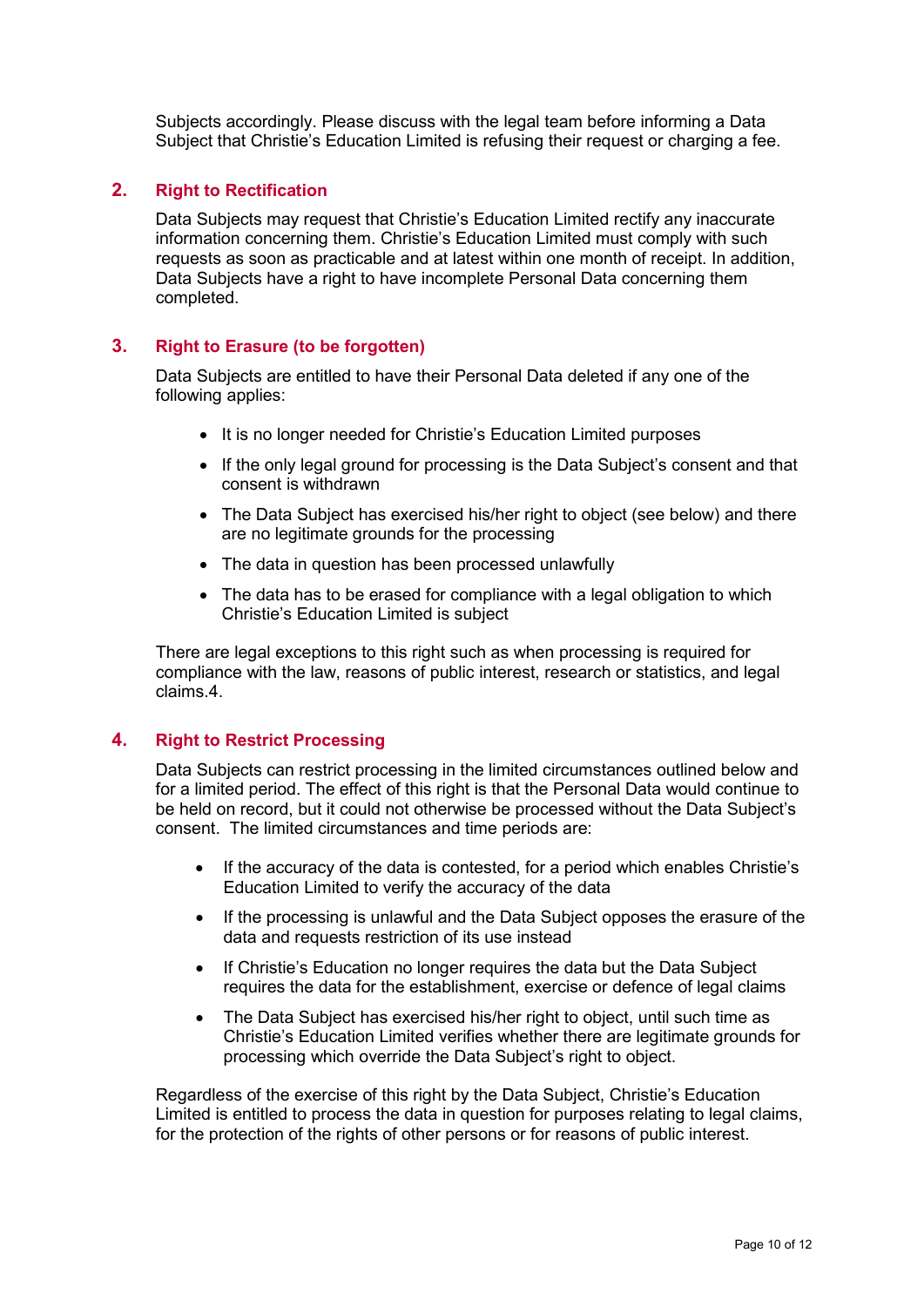Subjects accordingly. Please discuss with the legal team before informing a Data Subject that Christie's Education Limited is refusing their request or charging a fee.

#### <span id="page-9-0"></span>**2. Right to Rectification**

Data Subjects may request that Christie's Education Limited rectify any inaccurate information concerning them. Christie's Education Limited must comply with such requests as soon as practicable and at latest within one month of receipt. In addition, Data Subjects have a right to have incomplete Personal Data concerning them completed.

#### <span id="page-9-1"></span>**3. Right to Erasure (to be forgotten)**

Data Subjects are entitled to have their Personal Data deleted if any one of the following applies:

- It is no longer needed for Christie's Education Limited purposes
- If the only legal ground for processing is the Data Subject's consent and that consent is withdrawn
- The Data Subject has exercised his/her right to object (see below) and there are no legitimate grounds for the processing
- The data in question has been processed unlawfully
- The data has to be erased for compliance with a legal obligation to which Christie's Education Limited is subject

There are legal exceptions to this right such as when processing is required for compliance with the law, reasons of public interest, research or statistics, and legal claims.4.

#### <span id="page-9-2"></span>**4. Right to Restrict Processing**

Data Subjects can restrict processing in the limited circumstances outlined below and for a limited period. The effect of this right is that the Personal Data would continue to be held on record, but it could not otherwise be processed without the Data Subject's consent. The limited circumstances and time periods are:

- If the accuracy of the data is contested, for a period which enables Christie's Education Limited to verify the accuracy of the data
- If the processing is unlawful and the Data Subject opposes the erasure of the data and requests restriction of its use instead
- If Christie's Education no longer requires the data but the Data Subject requires the data for the establishment, exercise or defence of legal claims
- The Data Subject has exercised his/her right to object, until such time as Christie's Education Limited verifies whether there are legitimate grounds for processing which override the Data Subject's right to object.

Regardless of the exercise of this right by the Data Subject, Christie's Education Limited is entitled to process the data in question for purposes relating to legal claims, for the protection of the rights of other persons or for reasons of public interest.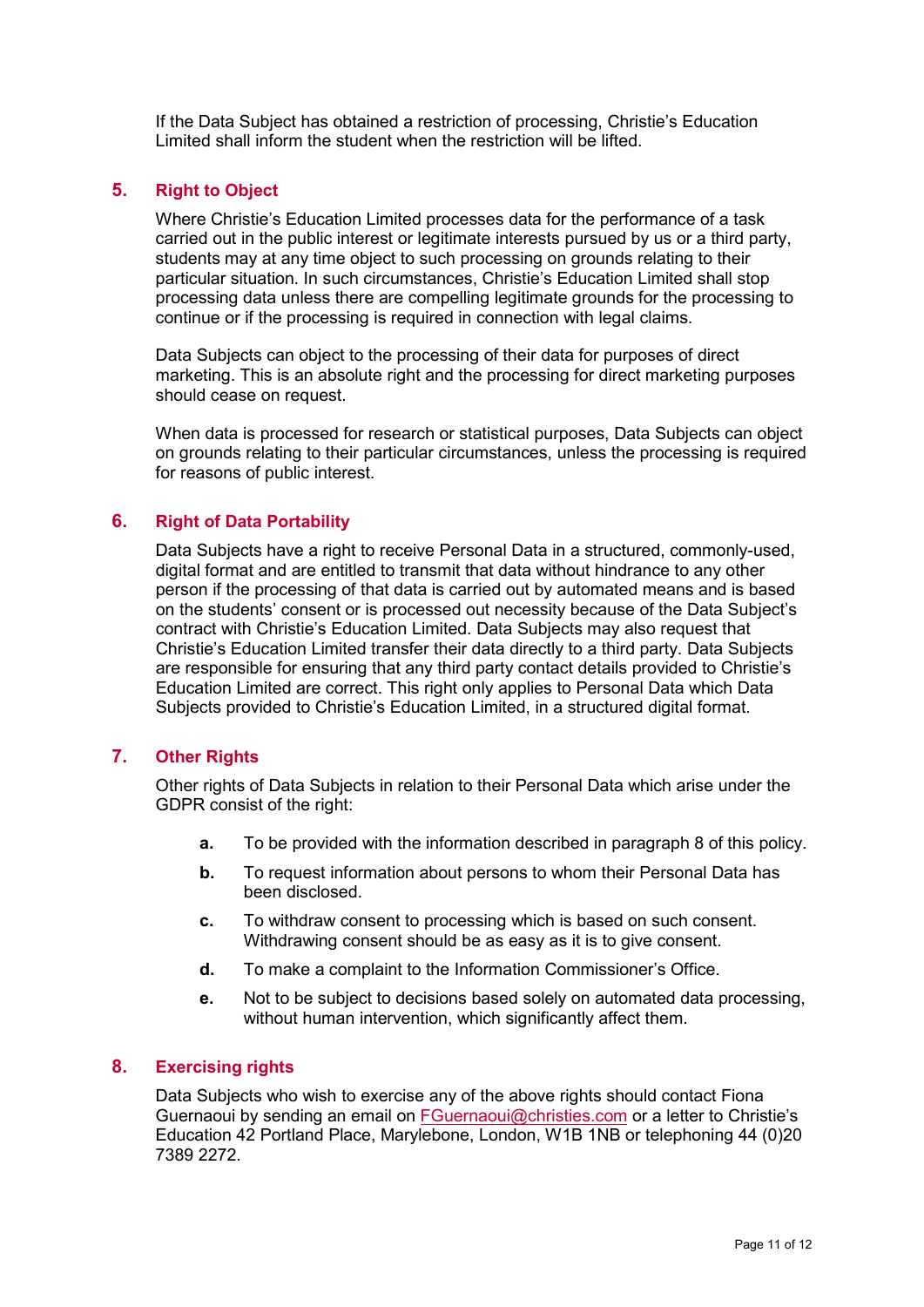If the Data Subject has obtained a restriction of processing, Christie's Education Limited shall inform the student when the restriction will be lifted.

## <span id="page-10-0"></span>**5. Right to Object**

Where Christie's Education Limited processes data for the performance of a task carried out in the public interest or legitimate interests pursued by us or a third party, students may at any time object to such processing on grounds relating to their particular situation. In such circumstances, Christie's Education Limited shall stop processing data unless there are compelling legitimate grounds for the processing to continue or if the processing is required in connection with legal claims.

Data Subjects can object to the processing of their data for purposes of direct marketing. This is an absolute right and the processing for direct marketing purposes should cease on request.

When data is processed for research or statistical purposes, Data Subjects can object on grounds relating to their particular circumstances, unless the processing is required for reasons of public interest.

## <span id="page-10-1"></span>**6. Right of Data Portability**

Data Subjects have a right to receive Personal Data in a structured, commonly-used, digital format and are entitled to transmit that data without hindrance to any other person if the processing of that data is carried out by automated means and is based on the students' consent or is processed out necessity because of the Data Subject's contract with Christie's Education Limited. Data Subjects may also request that Christie's Education Limited transfer their data directly to a third party. Data Subjects are responsible for ensuring that any third party contact details provided to Christie's Education Limited are correct. This right only applies to Personal Data which Data Subjects provided to Christie's Education Limited, in a structured digital format.

## <span id="page-10-2"></span>**7. Other Rights**

Other rights of Data Subjects in relation to their Personal Data which arise under the GDPR consist of the right:

- **a.** To be provided with the information described in paragraph 8 of this policy.
- **b.** To request information about persons to whom their Personal Data has been disclosed.
- **c.** To withdraw consent to processing which is based on such consent. Withdrawing consent should be as easy as it is to give consent.
- **d.** To make a complaint to the Information Commissioner's Office.
- **e.** Not to be subject to decisions based solely on automated data processing, without human intervention, which significantly affect them.

## <span id="page-10-3"></span>**8. Exercising rights**

Data Subjects who wish to exercise any of the above rights should contact Fiona Guernaoui by sending an email on [FGuernaoui@christies.com](mailto:FGuernaoui@christies.com) or a letter to Christie's Education 42 Portland Place, Marylebone, London, W1B 1NB or telephoning 44 (0)20 7389 2272.